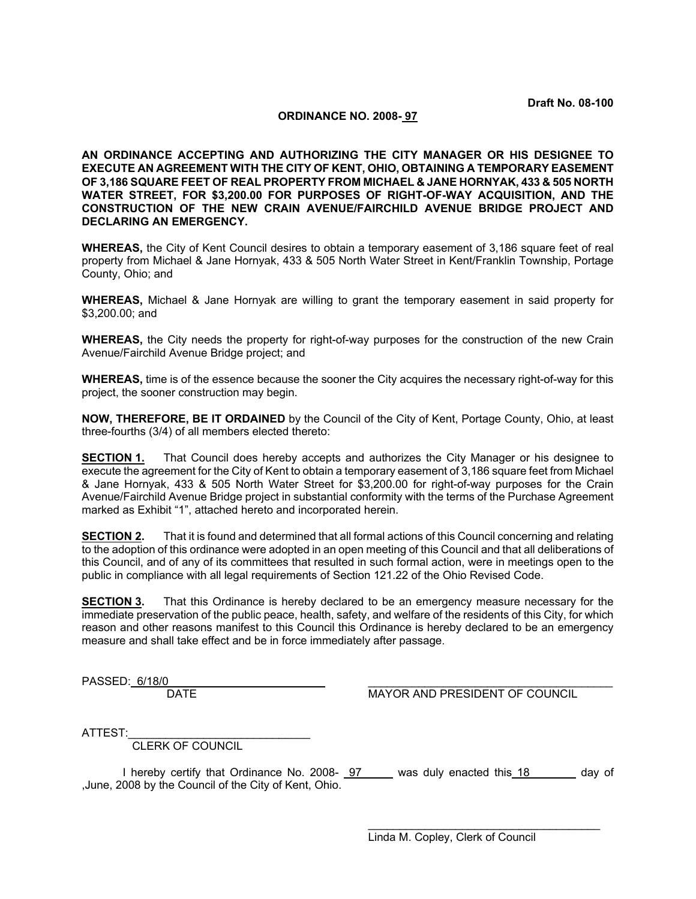### **ORDINANCE NO. 2008- 97**

**AN ORDINANCE ACCEPTING AND AUTHORIZING THE CITY MANAGER OR HIS DESIGNEE TO EXECUTE AN AGREEMENT WITH THE CITY OF KENT, OHIO, OBTAINING A TEMPORARY EASEMENT OF 3,186 SQUARE FEET OF REAL PROPERTY FROM MICHAEL & JANE HORNYAK, 433 & 505 NORTH WATER STREET, FOR \$3,200.00 FOR PURPOSES OF RIGHT-OF-WAY ACQUISITION, AND THE CONSTRUCTION OF THE NEW CRAIN AVENUE/FAIRCHILD AVENUE BRIDGE PROJECT AND DECLARING AN EMERGENCY.** 

**WHEREAS,** the City of Kent Council desires to obtain a temporary easement of 3,186 square feet of real property from Michael & Jane Hornyak, 433 & 505 North Water Street in Kent/Franklin Township, Portage County, Ohio; and

**WHEREAS,** Michael & Jane Hornyak are willing to grant the temporary easement in said property for \$3,200.00; and

**WHEREAS,** the City needs the property for right-of-way purposes for the construction of the new Crain Avenue/Fairchild Avenue Bridge project; and

**WHEREAS,** time is of the essence because the sooner the City acquires the necessary right-of-way for this project, the sooner construction may begin.

**NOW, THEREFORE, BE IT ORDAINED** by the Council of the City of Kent, Portage County, Ohio, at least three-fourths (3/4) of all members elected thereto:

**SECTION 1.** That Council does hereby accepts and authorizes the City Manager or his designee to execute the agreement for the City of Kent to obtain a temporary easement of 3,186 square feet from Michael & Jane Hornyak, 433 & 505 North Water Street for \$3,200.00 for right-of-way purposes for the Crain Avenue/Fairchild Avenue Bridge project in substantial conformity with the terms of the Purchase Agreement marked as Exhibit "1", attached hereto and incorporated herein.

**SECTION 2.** That it is found and determined that all formal actions of this Council concerning and relating to the adoption of this ordinance were adopted in an open meeting of this Council and that all deliberations of this Council, and of any of its committees that resulted in such formal action, were in meetings open to the public in compliance with all legal requirements of Section 121.22 of the Ohio Revised Code.

**SECTION 3.** That this Ordinance is hereby declared to be an emergency measure necessary for the immediate preservation of the public peace, health, safety, and welfare of the residents of this City, for which reason and other reasons manifest to this Council this Ordinance is hereby declared to be an emergency measure and shall take effect and be in force immediately after passage.

PASSED: 6/18/0<br>DATE

MAYOR AND PRESIDENT OF COUNCIL

ATTEST:

CLERK OF COUNCIL

I hereby certify that Ordinance No. 2008- 97 was duly enacted this 18 day of ,June, 2008 by the Council of the City of Kent, Ohio.

> $\mathcal{L}_\text{max}$  and  $\mathcal{L}_\text{max}$  and  $\mathcal{L}_\text{max}$  and  $\mathcal{L}_\text{max}$  and  $\mathcal{L}_\text{max}$ Linda M. Copley, Clerk of Council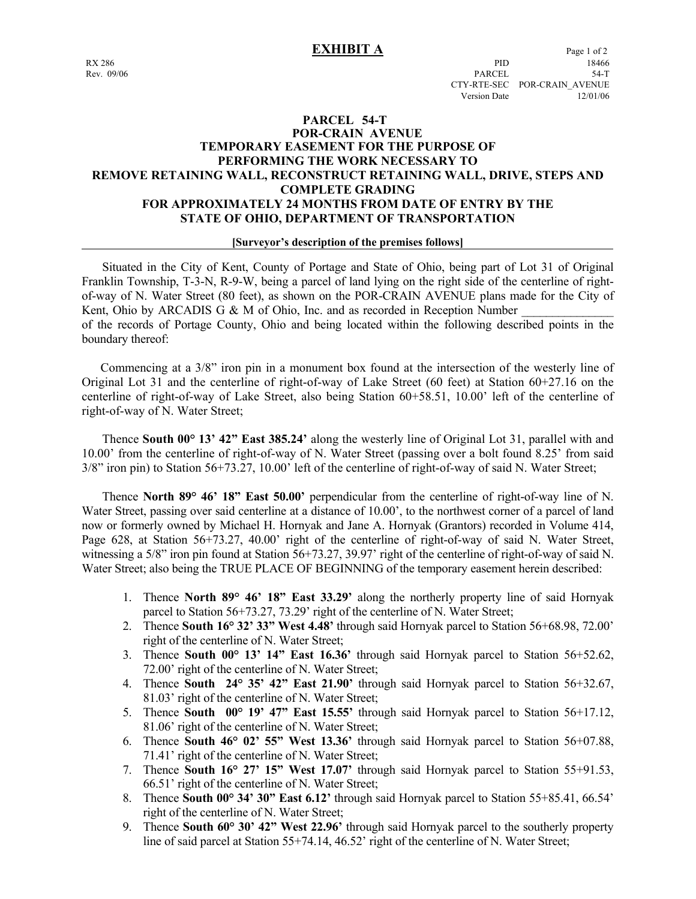## **PARCEL 54-T POR-CRAIN AVENUE TEMPORARY EASEMENT FOR THE PURPOSE OF PERFORMING THE WORK NECESSARY TO REMOVE RETAINING WALL, RECONSTRUCT RETAINING WALL, DRIVE, STEPS AND COMPLETE GRADING FOR APPROXIMATELY 24 MONTHS FROM DATE OF ENTRY BY THE STATE OF OHIO, DEPARTMENT OF TRANSPORTATION**

#### **[Surveyor's description of the premises follows]**

 Situated in the City of Kent, County of Portage and State of Ohio, being part of Lot 31 of Original Franklin Township, T-3-N, R-9-W, being a parcel of land lying on the right side of the centerline of rightof-way of N. Water Street (80 feet), as shown on the POR-CRAIN AVENUE plans made for the City of Kent, Ohio by ARCADIS G & M of Ohio, Inc. and as recorded in Reception Number of the records of Portage County, Ohio and being located within the following described points in the boundary thereof:

 Commencing at a 3/8" iron pin in a monument box found at the intersection of the westerly line of Original Lot 31 and the centerline of right-of-way of Lake Street (60 feet) at Station 60+27.16 on the centerline of right-of-way of Lake Street, also being Station 60+58.51, 10.00' left of the centerline of right-of-way of N. Water Street;

 Thence **South 00° 13' 42" East 385.24'** along the westerly line of Original Lot 31, parallel with and 10.00' from the centerline of right-of-way of N. Water Street (passing over a bolt found 8.25' from said 3/8" iron pin) to Station 56+73.27, 10.00' left of the centerline of right-of-way of said N. Water Street;

 Thence **North 89° 46' 18" East 50.00'** perpendicular from the centerline of right-of-way line of N. Water Street, passing over said centerline at a distance of 10.00', to the northwest corner of a parcel of land now or formerly owned by Michael H. Hornyak and Jane A. Hornyak (Grantors) recorded in Volume 414, Page 628, at Station 56+73.27, 40.00' right of the centerline of right-of-way of said N. Water Street, witnessing a 5/8" iron pin found at Station 56+73.27, 39.97" right of the centerline of right-of-way of said N. Water Street; also being the TRUE PLACE OF BEGINNING of the temporary easement herein described:

- 1. Thence **North 89° 46' 18" East 33.29'** along the northerly property line of said Hornyak parcel to Station 56+73.27, 73.29' right of the centerline of N. Water Street;
- 2. Thence **South 16° 32' 33" West 4.48'** through said Hornyak parcel to Station 56+68.98, 72.00' right of the centerline of N. Water Street;
- 3. Thence **South 00° 13' 14" East 16.36'** through said Hornyak parcel to Station 56+52.62, 72.00' right of the centerline of N. Water Street;
- 4. Thence **South 24° 35' 42" East 21.90'** through said Hornyak parcel to Station 56+32.67, 81.03' right of the centerline of N. Water Street;
- 5. Thence **South 00° 19' 47" East 15.55'** through said Hornyak parcel to Station 56+17.12, 81.06' right of the centerline of N. Water Street;
- 6. Thence **South 46° 02' 55" West 13.36'** through said Hornyak parcel to Station 56+07.88, 71.41' right of the centerline of N. Water Street;
- 7. Thence **South 16° 27' 15" West 17.07'** through said Hornyak parcel to Station 55+91.53, 66.51' right of the centerline of N. Water Street;
- 8. Thence **South 00° 34' 30" East 6.12'** through said Hornyak parcel to Station 55+85.41, 66.54' right of the centerline of N. Water Street;
- 9. Thence **South 60° 30' 42" West 22.96'** through said Hornyak parcel to the southerly property line of said parcel at Station 55+74.14, 46.52' right of the centerline of N. Water Street;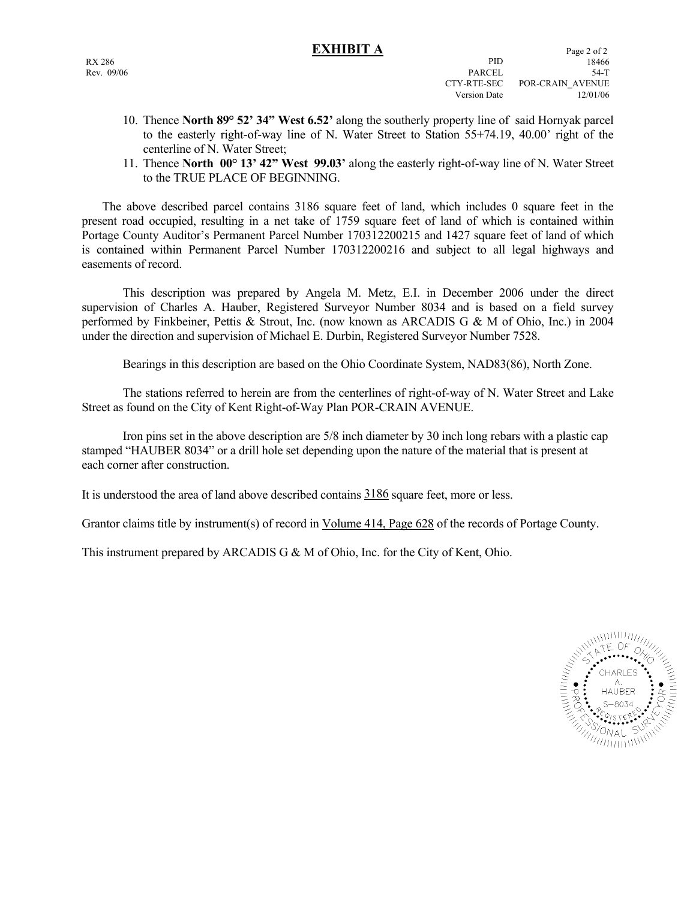- 10. Thence **North 89° 52' 34" West 6.52'** along the southerly property line of said Hornyak parcel to the easterly right-of-way line of N. Water Street to Station 55+74.19, 40.00' right of the centerline of N. Water Street;
- 11. Thence **North 00° 13' 42" West 99.03'** along the easterly right-of-way line of N. Water Street to the TRUE PLACE OF BEGINNING.

 The above described parcel contains 3186 square feet of land, which includes 0 square feet in the present road occupied, resulting in a net take of 1759 square feet of land of which is contained within Portage County Auditor's Permanent Parcel Number 170312200215 and 1427 square feet of land of which is contained within Permanent Parcel Number 170312200216 and subject to all legal highways and easements of record.

 This description was prepared by Angela M. Metz, E.I. in December 2006 under the direct supervision of Charles A. Hauber, Registered Surveyor Number 8034 and is based on a field survey performed by Finkbeiner, Pettis & Strout, Inc. (now known as ARCADIS G & M of Ohio, Inc.) in 2004 under the direction and supervision of Michael E. Durbin, Registered Surveyor Number 7528.

Bearings in this description are based on the Ohio Coordinate System, NAD83(86), North Zone.

 The stations referred to herein are from the centerlines of right-of-way of N. Water Street and Lake Street as found on the City of Kent Right-of-Way Plan POR-CRAIN AVENUE.

 Iron pins set in the above description are 5/8 inch diameter by 30 inch long rebars with a plastic cap stamped "HAUBER 8034" or a drill hole set depending upon the nature of the material that is present at each corner after construction.

It is understood the area of land above described contains 3186 square feet, more or less.

Grantor claims title by instrument(s) of record in Volume 414, Page 628 of the records of Portage County.

This instrument prepared by ARCADIS G & M of Ohio, Inc. for the City of Kent, Ohio.

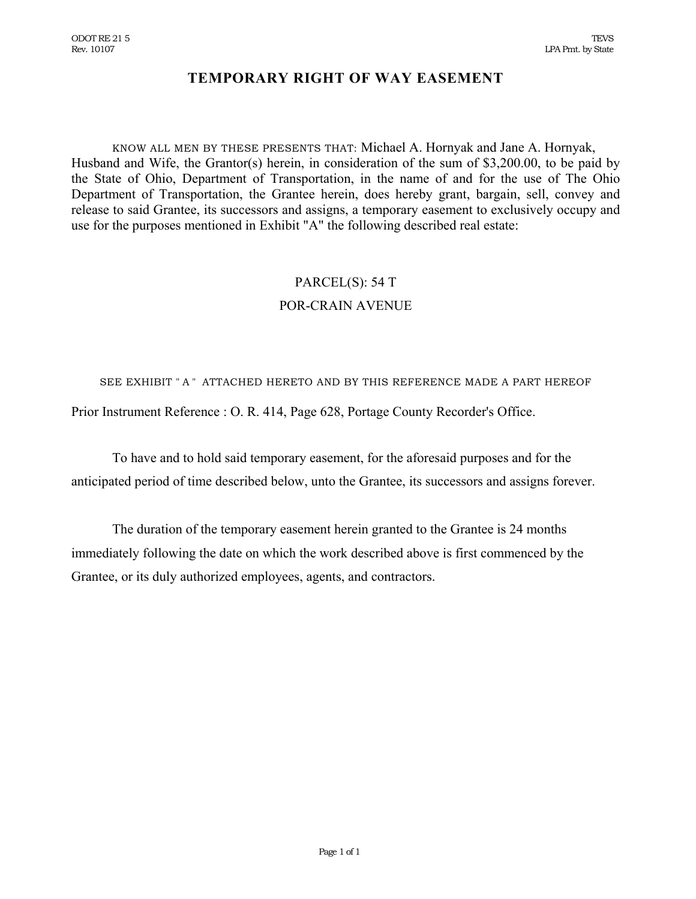# **TEMPORARY RIGHT OF WAY EASEMENT**

KNOW ALL MEN BY THESE PRESENTS THAT: Michael A. Hornyak and Jane A. Hornyak, Husband and Wife, the Grantor(s) herein, in consideration of the sum of \$3,200.00, to be paid by the State of Ohio, Department of Transportation, in the name of and for the use of The Ohio Department of Transportation, the Grantee herein, does hereby grant, bargain, sell, convey and release to said Grantee, its successors and assigns, a temporary easement to exclusively occupy and use for the purposes mentioned in Exhibit "A" the following described real estate:

# PARCEL(S): 54 T POR-CRAIN AVENUE

SEE EXHIBIT " A " ATTACHED HERETO AND BY THIS REFERENCE MADE A PART HEREOF Prior Instrument Reference : O. R. 414, Page 628, Portage County Recorder's Office.

To have and to hold said temporary easement, for the aforesaid purposes and for the anticipated period of time described below, unto the Grantee, its successors and assigns forever.

The duration of the temporary easement herein granted to the Grantee is 24 months immediately following the date on which the work described above is first commenced by the Grantee, or its duly authorized employees, agents, and contractors.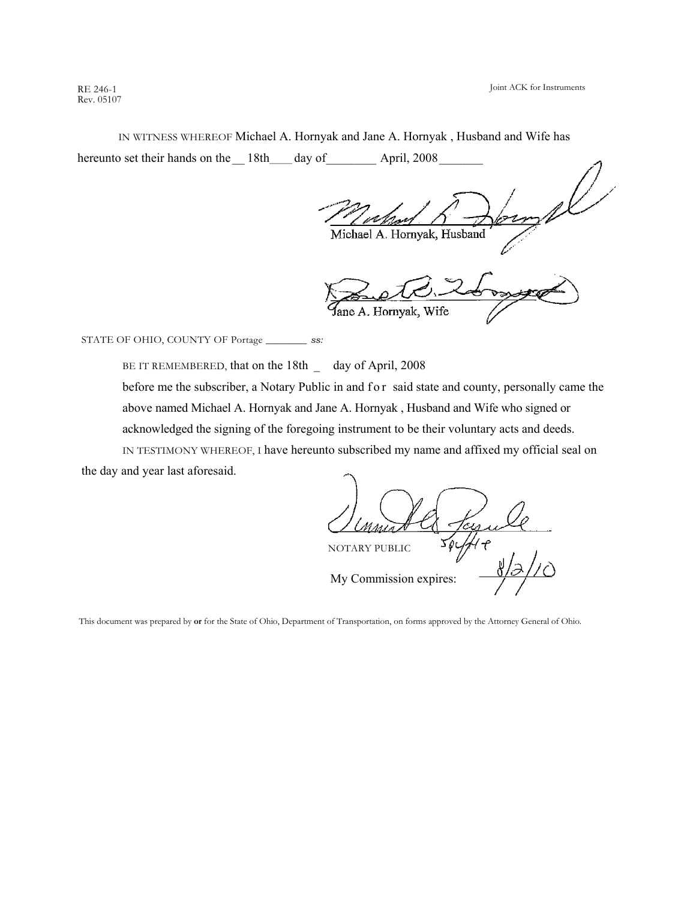Joint ACK for Instruments

RE 246-1 Rev. 05107

IN WITNESS WHEREOF Michael A. Hornyak and Jane A. Hornyak , Husband and Wife has hereunto set their hands on the 18th\_\_\_\_ day of April, 2008

Michael A. Hornyak, Husband

ane A. Hornyak, Wife

STATE OF OHIO, COUNTY OF Portage \_\_\_\_\_\_\_\_ *ss:* 

BE IT REMEMBERED, that on the 18th \_ day of April, 2008 before me the subscriber, a Notary Public in and f or said state and county, personally came the above named Michael A. Hornyak and Jane A. Hornyak , Husband and Wife who signed or acknowledged the signing of the foregoing instrument to be their voluntary acts and deeds. IN TESTIMONY WHEREOF, I have hereunto subscribed my name and affixed my official seal on

the day and year last aforesaid.

NOTARY PUBLIC My Commission expires:

This document was prepared by **or** for the State of Ohio, Department of Transportation, on forms approved by the Attorney General of Ohio.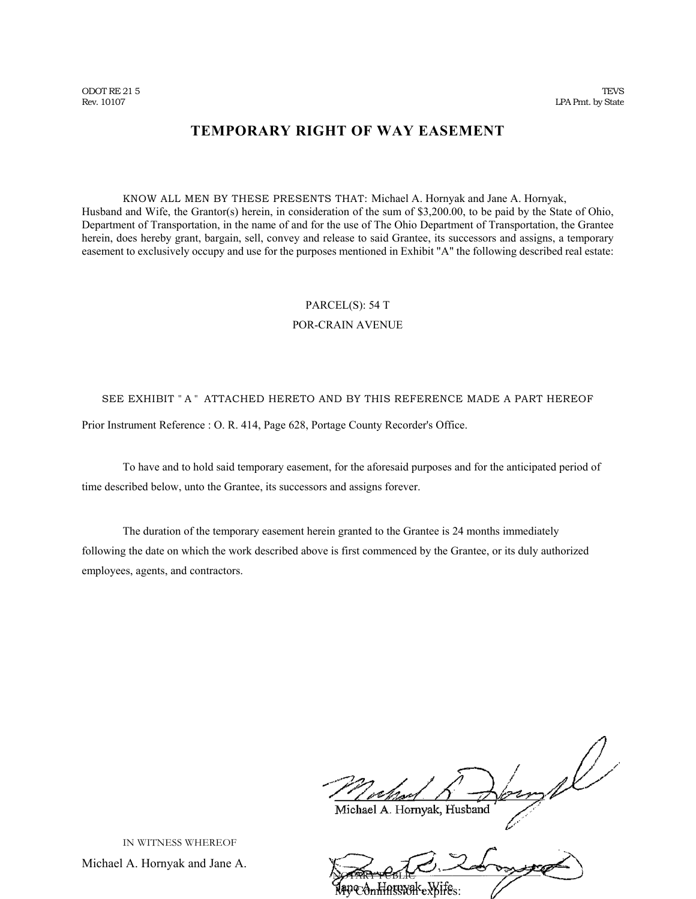# **TEMPORARY RIGHT OF WAY EASEMENT**

KNOW ALL MEN BY THESE PRESENTS THAT: Michael A. Hornyak and Jane A. Hornyak, Husband and Wife, the Grantor(s) herein, in consideration of the sum of \$3,200.00, to be paid by the State of Ohio, Department of Transportation, in the name of and for the use of The Ohio Department of Transportation, the Grantee herein, does hereby grant, bargain, sell, convey and release to said Grantee, its successors and assigns, a temporary easement to exclusively occupy and use for the purposes mentioned in Exhibit "A" the following described real estate:

# PARCEL(S): 54 T

#### POR-CRAIN AVENUE

## SEE EXHIBIT " A " ATTACHED HERETO AND BY THIS REFERENCE MADE A PART HEREOF

Prior Instrument Reference : O. R. 414, Page 628, Portage County Recorder's Office.

To have and to hold said temporary easement, for the aforesaid purposes and for the anticipated period of time described below, unto the Grantee, its successors and assigns forever.

The duration of the temporary easement herein granted to the Grantee is 24 months immediately following the date on which the work described above is first commenced by the Grantee, or its duly authorized employees, agents, and contractors.

Michael A. Hornyak, Husband

NOTARY PUBLIC My Commission expires:

IN WITNESS WHEREOF

Michael A. Hornyak and Jane A.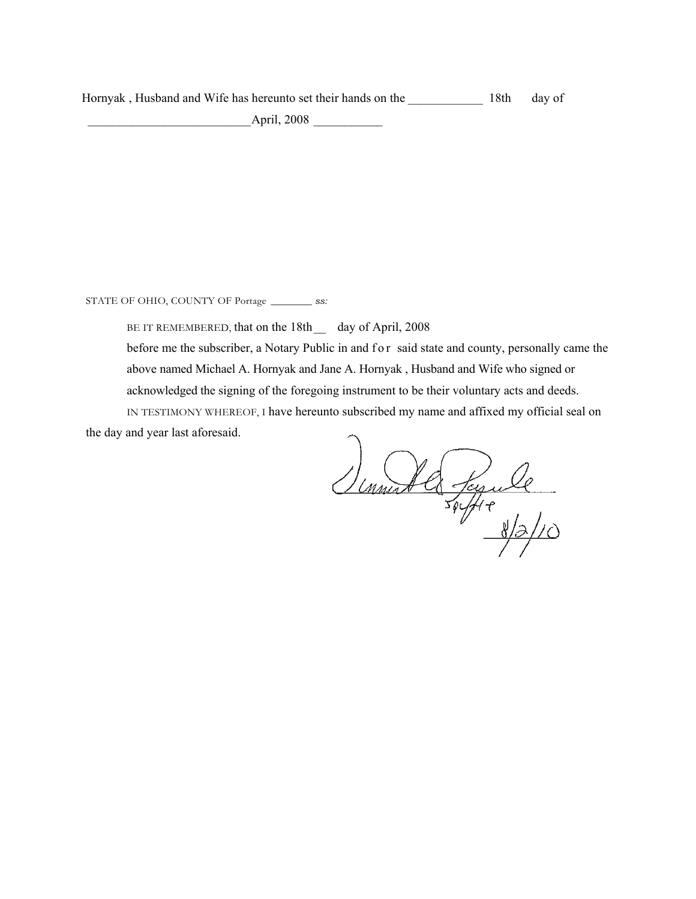Hornyak, Husband and Wife has hereunto set their hands on the 18th day of

\_\_\_\_\_\_\_\_\_\_\_\_\_\_\_\_\_\_\_\_\_\_\_\_\_\_April, 2008 \_\_\_\_\_\_\_\_\_\_\_

STATE OF OHIO, COUNTY OF Portage \_\_\_\_\_\_\_\_ *ss:* 

BE IT REMEMBERED, that on the 18th \_ day of April, 2008

before me the subscriber, a Notary Public in and f o r said state and county, personally came the above named Michael A. Hornyak and Jane A. Hornyak , Husband and Wife who signed or acknowledged the signing of the foregoing instrument to be their voluntary acts and deeds.

IN TESTIMONY WHEREOF, I have hereunto subscribed my name and affixed my official seal on the day and year last aforesaid.

Simmed la Jessuelle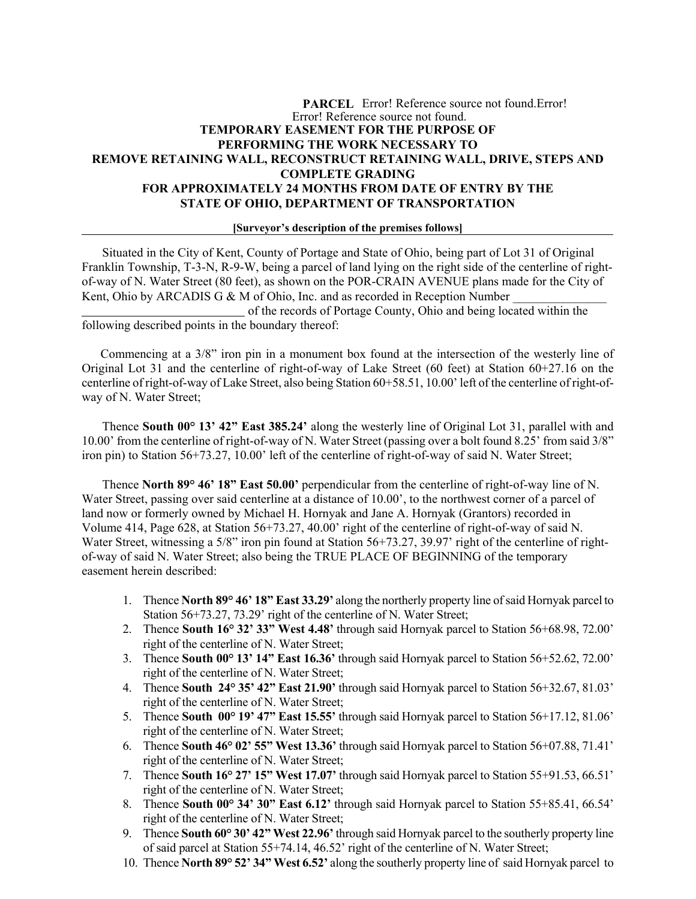## **PARCEL** Error! Reference source not found.Error! Error! Reference source not found. **TEMPORARY EASEMENT FOR THE PURPOSE OF PERFORMING THE WORK NECESSARY TO REMOVE RETAINING WALL, RECONSTRUCT RETAINING WALL, DRIVE, STEPS AND COMPLETE GRADING FOR APPROXIMATELY 24 MONTHS FROM DATE OF ENTRY BY THE STATE OF OHIO, DEPARTMENT OF TRANSPORTATION**

#### **[Surveyor's description of the premises follows]**

 Situated in the City of Kent, County of Portage and State of Ohio, being part of Lot 31 of Original Franklin Township, T-3-N, R-9-W, being a parcel of land lying on the right side of the centerline of rightof-way of N. Water Street (80 feet), as shown on the POR-CRAIN AVENUE plans made for the City of Kent, Ohio by ARCADIS G & M of Ohio, Inc. and as recorded in Reception Number

 of the records of Portage County, Ohio and being located within the following described points in the boundary thereof:

 Commencing at a 3/8" iron pin in a monument box found at the intersection of the westerly line of Original Lot 31 and the centerline of right-of-way of Lake Street (60 feet) at Station 60+27.16 on the centerline of right-of-way of Lake Street, also being Station 60+58.51, 10.00' left of the centerline of right-ofway of N. Water Street;

 Thence **South 00° 13' 42" East 385.24'** along the westerly line of Original Lot 31, parallel with and 10.00' from the centerline of right-of-way of N. Water Street (passing over a bolt found 8.25' from said 3/8" iron pin) to Station 56+73.27, 10.00' left of the centerline of right-of-way of said N. Water Street;

Thence **North 89° 46' 18" East 50.00'** perpendicular from the centerline of right-of-way line of N. Water Street, passing over said centerline at a distance of 10.00', to the northwest corner of a parcel of land now or formerly owned by Michael H. Hornyak and Jane A. Hornyak (Grantors) recorded in Volume 414, Page 628, at Station 56+73.27, 40.00' right of the centerline of right-of-way of said N. Water Street, witnessing a 5/8" iron pin found at Station 56+73.27, 39.97' right of the centerline of rightof-way of said N. Water Street; also being the TRUE PLACE OF BEGINNING of the temporary easement herein described:

- 1. Thence **North 89° 46' 18" East 33.29'** along the northerly property line of said Hornyak parcel to Station 56+73.27, 73.29' right of the centerline of N. Water Street;
- 2. Thence **South 16° 32' 33" West 4.48'** through said Hornyak parcel to Station 56+68.98, 72.00' right of the centerline of N. Water Street;
- 3. Thence **South 00° 13' 14" East 16.36'** through said Hornyak parcel to Station 56+52.62, 72.00' right of the centerline of N. Water Street;
- 4. Thence **South 24° 35' 42" East 21.90'** through said Hornyak parcel to Station 56+32.67, 81.03' right of the centerline of N. Water Street;
- 5. Thence **South 00° 19' 47" East 15.55'** through said Hornyak parcel to Station 56+17.12, 81.06' right of the centerline of N. Water Street;
- 6. Thence **South 46° 02' 55" West 13.36'** through said Hornyak parcel to Station 56+07.88, 71.41' right of the centerline of N. Water Street;
- 7. Thence **South 16° 27' 15" West 17.07'** through said Hornyak parcel to Station 55+91.53, 66.51' right of the centerline of N. Water Street;
- 8. Thence **South 00° 34' 30" East 6.12'** through said Hornyak parcel to Station 55+85.41, 66.54' right of the centerline of N. Water Street;
- 9. Thence **South 60° 30' 42" West 22.96'** through said Hornyak parcel to the southerly property line of said parcel at Station 55+74.14, 46.52' right of the centerline of N. Water Street;
- 10. Thence **North 89° 52' 34" West 6.52'** along the southerly property line of said Hornyak parcel to